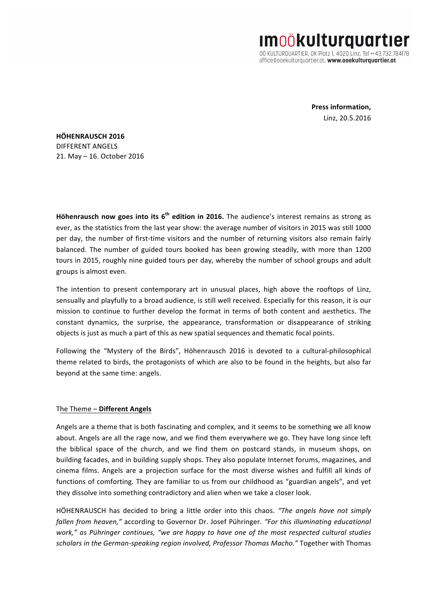**IMOÖKUlturquart**ı 00 KULTURQUARTIER, OK Platz 1, 4020 Linz, Tel ++43.732.784178

office@ooekulturgugrtier.gt, www.ooekulturgugrtier.gt

**Press information,** Linz, 20.5.2016

**HÖHENRAUSCH 2016** DIFFERENT ANGELS 21. May - 16. October 2016

**Höhenrausch now goes into its 6<sup>th</sup> edition in 2016.** The audience's interest remains as strong as ever, as the statistics from the last year show: the average number of visitors in 2015 was still 1000 per day, the number of first-time visitors and the number of returning visitors also remain fairly balanced. The number of guided tours booked has been growing steadily, with more than 1200 tours in 2015, roughly nine guided tours per day, whereby the number of school groups and adult groups is almost even.

The intention to present contemporary art in unusual places, high above the rooftops of Linz, sensually and playfully to a broad audience, is still well received. Especially for this reason, it is our mission to continue to further develop the format in terms of both content and aesthetics. The constant dynamics, the surprise, the appearance, transformation or disappearance of striking objects is just as much a part of this as new spatial sequences and thematic focal points.

Following the "Mystery of the Birds", Höhenrausch 2016 is devoted to a cultural-philosophical theme related to birds, the protagonists of which are also to be found in the heights, but also far beyond at the same time: angels.

## The Theme - Different Angels

Angels are a theme that is both fascinating and complex, and it seems to be something we all know about. Angels are all the rage now, and we find them everywhere we go. They have long since left the biblical space of the church, and we find them on postcard stands, in museum shops, on building facades, and in building supply shops. They also populate Internet forums, magazines, and cinema films. Angels are a projection surface for the most diverse wishes and fulfill all kinds of functions of comforting. They are familiar to us from our childhood as "guardian angels", and yet they dissolve into something contradictory and alien when we take a closer look.

HÖHENRAUSCH has decided to bring a little order into this chaos. "The angels have not simply *fallen from heaven,"* according to Governor Dr. Josef Pühringer. "For this illuminating educational *work,"* as Pühringer continues, "we are happy to have one of the most respected cultural studies scholars in the German-speaking region involved, Professor Thomas Macho." Together with Thomas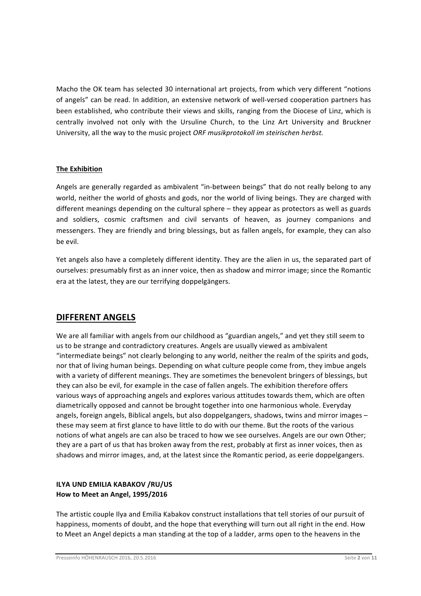Macho the OK team has selected 30 international art projects, from which very different "notions of angels" can be read. In addition, an extensive network of well-versed cooperation partners has been established, who contribute their views and skills, ranging from the Diocese of Linz, which is centrally involved not only with the Ursuline Church, to the Linz Art University and Bruckner University, all the way to the music project *ORF musikprotokoll im steirischen herbst.* 

## **The Exhibition**

Angels are generally regarded as ambivalent "in-between beings" that do not really belong to any world, neither the world of ghosts and gods, nor the world of living beings. They are charged with different meanings depending on the cultural sphere  $-$  they appear as protectors as well as guards and soldiers, cosmic craftsmen and civil servants of heaven, as journey companions and messengers. They are friendly and bring blessings, but as fallen angels, for example, they can also be evil.

Yet angels also have a completely different identity. They are the alien in us, the separated part of ourselves: presumably first as an inner voice, then as shadow and mirror image; since the Romantic era at the latest, they are our terrifying doppelgängers.

# **DIFFERENT ANGELS**

We are all familiar with angels from our childhood as "guardian angels," and yet they still seem to us to be strange and contradictory creatures. Angels are usually viewed as ambivalent "intermediate beings" not clearly belonging to any world, neither the realm of the spirits and gods, nor that of living human beings. Depending on what culture people come from, they imbue angels with a variety of different meanings. They are sometimes the benevolent bringers of blessings, but they can also be evil, for example in the case of fallen angels. The exhibition therefore offers various ways of approaching angels and explores various attitudes towards them, which are often diametrically opposed and cannot be brought together into one harmonious whole. Everyday angels, foreign angels, Biblical angels, but also doppelgangers, shadows, twins and mirror images  $$ these may seem at first glance to have little to do with our theme. But the roots of the various notions of what angels are can also be traced to how we see ourselves. Angels are our own Other; they are a part of us that has broken away from the rest, probably at first as inner voices, then as shadows and mirror images, and, at the latest since the Romantic period, as eerie doppelgangers.

## **ILYA UND EMILIA KABAKOV /RU/US How to Meet an Angel, 1995/2016**

The artistic couple Ilya and Emilia Kabakov construct installations that tell stories of our pursuit of happiness, moments of doubt, and the hope that everything will turn out all right in the end. How to Meet an Angel depicts a man standing at the top of a ladder, arms open to the heavens in the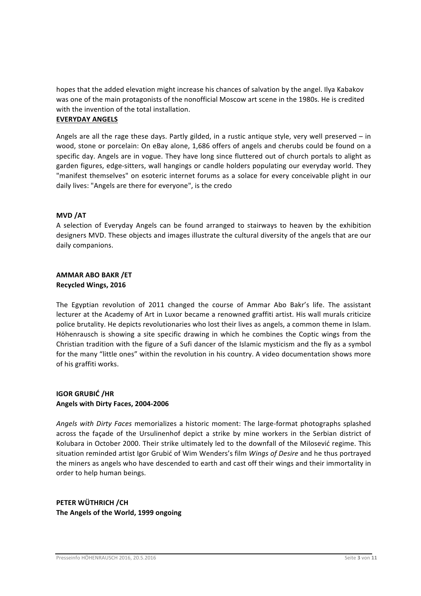hopes that the added elevation might increase his chances of salvation by the angel. Ilya Kabakov was one of the main protagonists of the nonofficial Moscow art scene in the 1980s. He is credited with the invention of the total installation.

## **EVERYDAY ANGELS**

Angels are all the rage these days. Partly gilded, in a rustic antique style, very well preserved  $-$  in wood, stone or porcelain: On eBay alone, 1,686 offers of angels and cherubs could be found on a specific day. Angels are in vogue. They have long since fluttered out of church portals to alight as garden figures, edge-sitters, wall hangings or candle holders populating our everyday world. They "manifest themselves" on esoteric internet forums as a solace for every conceivable plight in our daily lives: "Angels are there for everyone", is the credo

### **MVD /AT**

A selection of Everyday Angels can be found arranged to stairways to heaven by the exhibition designers MVD. These objects and images illustrate the cultural diversity of the angels that are our daily companions.

#### **AMMAR ABO BAKR /ET Recycled Wings, 2016**

The Egyptian revolution of 2011 changed the course of Ammar Abo Bakr's life. The assistant lecturer at the Academy of Art in Luxor became a renowned graffiti artist. His wall murals criticize police brutality. He depicts revolutionaries who lost their lives as angels, a common theme in Islam. Höhenrausch is showing a site specific drawing in which he combines the Coptic wings from the Christian tradition with the figure of a Sufi dancer of the Islamic mysticism and the fly as a symbol for the many "little ones" within the revolution in his country. A video documentation shows more of his graffiti works.

## **IGOR GRUBIĆ /HR Angels with Dirty Faces, 2004-2006**

Angels with Dirty Faces memorializes a historic moment: The large-format photographs splashed across the façade of the Ursulinenhof depict a strike by mine workers in the Serbian district of Kolubara in October 2000. Their strike ultimately led to the downfall of the Milosević regime. This situation reminded artist Igor Grubić of Wim Wenders's film *Wings of Desire* and he thus portrayed the miners as angels who have descended to earth and cast off their wings and their immortality in order to help human beings.

# **PETER WÜTHRICH /CH The Angels of the World, 1999 ongoing**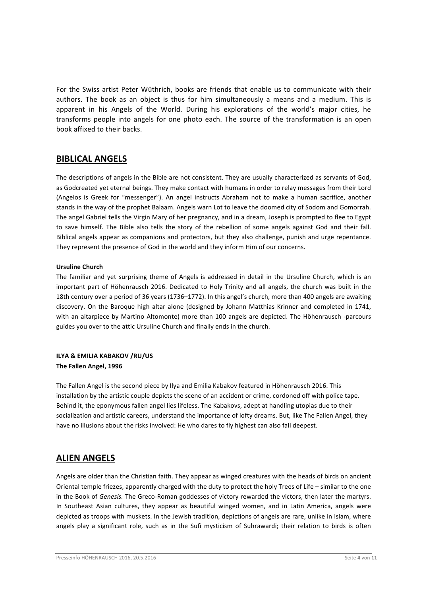For the Swiss artist Peter Wüthrich, books are friends that enable us to communicate with their authors. The book as an object is thus for him simultaneously a means and a medium. This is apparent in his Angels of the World. During his explorations of the world's major cities, he transforms people into angels for one photo each. The source of the transformation is an open book affixed to their backs.

# **BIBLICAL ANGELS**

The descriptions of angels in the Bible are not consistent. They are usually characterized as servants of God, as Godcreated yet eternal beings. They make contact with humans in order to relay messages from their Lord (Angelos is Greek for "messenger"). An angel instructs Abraham not to make a human sacrifice, another stands in the way of the prophet Balaam. Angels warn Lot to leave the doomed city of Sodom and Gomorrah. The angel Gabriel tells the Virgin Mary of her pregnancy, and in a dream, Joseph is prompted to flee to Egypt to save himself. The Bible also tells the story of the rebellion of some angels against God and their fall. Biblical angels appear as companions and protectors, but they also challenge, punish and urge repentance. They represent the presence of God in the world and they inform Him of our concerns.

#### **Ursuline Church**

The familiar and yet surprising theme of Angels is addressed in detail in the Ursuline Church, which is an important part of Höhenrausch 2016. Dedicated to Holy Trinity and all angels, the church was built in the 18th century over a period of 36 years (1736–1772). In this angel's church, more than 400 angels are awaiting discovery. On the Baroque high altar alone (designed by Johann Matthias Krinner and completed in 1741, with an altarpiece by Martino Altomonte) more than 100 angels are depicted. The Höhenrausch -parcours guides you over to the attic Ursuline Church and finally ends in the church.

### **ILYA & EMILIA KABAKOV /RU/US The Fallen Angel, 1996**

The Fallen Angel is the second piece by Ilya and Emilia Kabakov featured in Höhenrausch 2016. This installation by the artistic couple depicts the scene of an accident or crime, cordoned off with police tape. Behind it, the eponymous fallen angel lies lifeless. The Kabakovs, adept at handling utopias due to their socialization and artistic careers, understand the importance of lofty dreams. But, like The Fallen Angel, they have no illusions about the risks involved: He who dares to fly highest can also fall deepest.

# **ALIEN ANGELS**

Angels are older than the Christian faith. They appear as winged creatures with the heads of birds on ancient Oriental temple friezes, apparently charged with the duty to protect the holy Trees of Life – similar to the one in the Book of *Genesis*. The Greco-Roman goddesses of victory rewarded the victors, then later the martyrs. In Southeast Asian cultures, they appear as beautiful winged women, and in Latin America, angels were depicted as troops with muskets. In the Jewish tradition, depictions of angels are rare, unlike in Islam, where angels play a significant role, such as in the Sufi mysticism of Suhrawardī; their relation to birds is often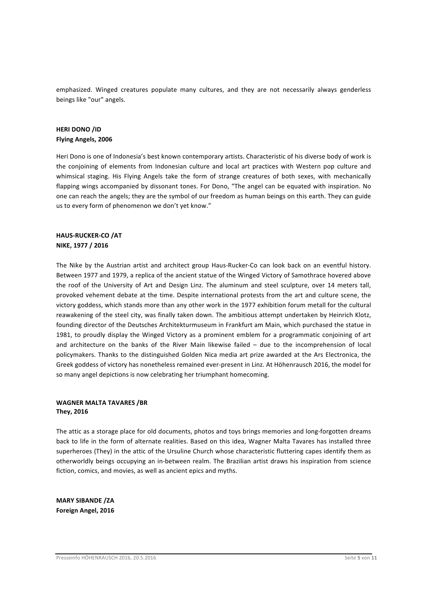emphasized. Winged creatures populate many cultures, and they are not necessarily always genderless beings like "our" angels.

## **HERI DONO /ID Flying Angels, 2006**

Heri Dono is one of Indonesia's best known contemporary artists. Characteristic of his diverse body of work is the conjoining of elements from Indonesian culture and local art practices with Western pop culture and whimsical staging. His Flying Angels take the form of strange creatures of both sexes, with mechanically flapping wings accompanied by dissonant tones. For Dono, "The angel can be equated with inspiration. No one can reach the angels; they are the symbol of our freedom as human beings on this earth. They can guide us to every form of phenomenon we don't yet know."

## **HAUS-RUCKER-CO /AT NIKE, 1977 / 2016**

The Nike by the Austrian artist and architect group Haus-Rucker-Co can look back on an eventful history. Between 1977 and 1979, a replica of the ancient statue of the Winged Victory of Samothrace hovered above the roof of the University of Art and Design Linz. The aluminum and steel sculpture, over 14 meters tall, provoked vehement debate at the time. Despite international protests from the art and culture scene, the victory goddess, which stands more than any other work in the 1977 exhibition forum metall for the cultural reawakening of the steel city, was finally taken down. The ambitious attempt undertaken by Heinrich Klotz, founding director of the Deutsches Architekturmuseum in Frankfurt am Main, which purchased the statue in 1981, to proudly display the Winged Victory as a prominent emblem for a programmatic conjoining of art and architecture on the banks of the River Main likewise failed  $-$  due to the incomprehension of local policymakers. Thanks to the distinguished Golden Nica media art prize awarded at the Ars Electronica, the Greek goddess of victory has nonetheless remained ever-present in Linz. At Höhenrausch 2016, the model for so many angel depictions is now celebrating her triumphant homecoming.

#### **WAGNER MALTA TAVARES /BR They, 2016**

The attic as a storage place for old documents, photos and toys brings memories and long-forgotten dreams back to life in the form of alternate realities. Based on this idea, Wagner Malta Tavares has installed three superheroes (They) in the attic of the Ursuline Church whose characteristic fluttering capes identify them as otherworldly beings occupying an in-between realm. The Brazilian artist draws his inspiration from science fiction, comics, and movies, as well as ancient epics and myths.

**MARY SIBANDE /ZA Foreign Angel, 2016**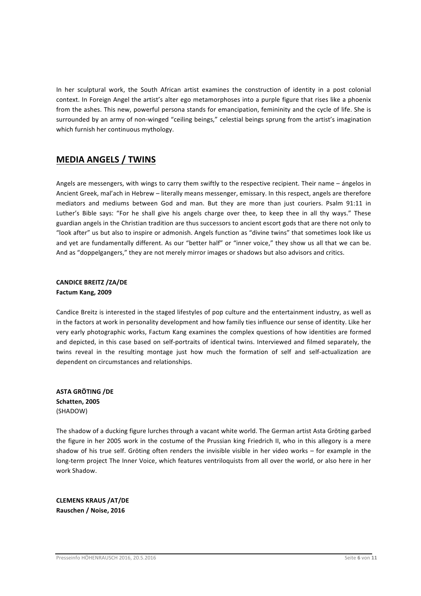In her sculptural work, the South African artist examines the construction of identity in a post colonial context. In Foreign Angel the artist's alter ego metamorphoses into a purple figure that rises like a phoenix from the ashes. This new, powerful persona stands for emancipation, femininity and the cycle of life. She is surrounded by an army of non-winged "ceiling beings," celestial beings sprung from the artist's imagination which furnish her continuous mythology.

# **MEDIA ANGELS / TWINS**

Angels are messengers, with wings to carry them swiftly to the respective recipient. Their name - ángelos in Ancient Greek, mal'ach in Hebrew - literally means messenger, emissary. In this respect, angels are therefore mediators and mediums between God and man. But they are more than just couriers. Psalm 91:11 in Luther's Bible says: "For he shall give his angels charge over thee, to keep thee in all thy ways." These guardian angels in the Christian tradition are thus successors to ancient escort gods that are there not only to "look after" us but also to inspire or admonish. Angels function as "divine twins" that sometimes look like us and yet are fundamentally different. As our "better half" or "inner voice," they show us all that we can be. And as "doppelgangers," they are not merely mirror images or shadows but also advisors and critics.

#### **CANDICE BREITZ /ZA/DE Factum Kang, 2009**

Candice Breitz is interested in the staged lifestyles of pop culture and the entertainment industry, as well as in the factors at work in personality development and how family ties influence our sense of identity. Like her very early photographic works, Factum Kang examines the complex questions of how identities are formed and depicted, in this case based on self-portraits of identical twins. Interviewed and filmed separately, the twins reveal in the resulting montage just how much the formation of self and self-actualization are dependent on circumstances and relationships.

**ASTA GRÖTING /DE Schatten, 2005** (SHADOW)

The shadow of a ducking figure lurches through a vacant white world. The German artist Asta Gröting garbed the figure in her 2005 work in the costume of the Prussian king Friedrich II, who in this allegory is a mere shadow of his true self. Gröting often renders the invisible visible in her video works  $-$  for example in the long-term project The Inner Voice, which features ventriloquists from all over the world, or also here in her work Shadow.

**CLEMENS KRAUS /AT/DE Rauschen / Noise, 2016**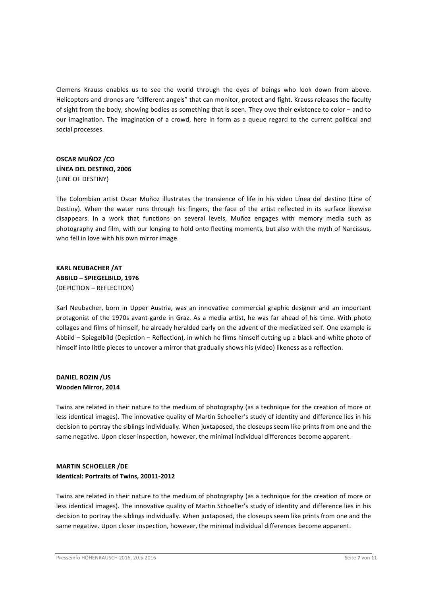Clemens Krauss enables us to see the world through the eyes of beings who look down from above. Helicopters and drones are "different angels" that can monitor, protect and fight. Krauss releases the faculty of sight from the body, showing bodies as something that is seen. They owe their existence to color – and to our imagination. The imagination of a crowd, here in form as a queue regard to the current political and social processes.

# **OSCAR MUÑOZ /CO LÍNEA DEL DESTINO, 2006** (LINE OF DESTINY)

The Colombian artist Oscar Muñoz illustrates the transience of life in his video Línea del destino (Line of Destiny). When the water runs through his fingers, the face of the artist reflected in its surface likewise disappears. In a work that functions on several levels, Muñoz engages with memory media such as photography and film, with our longing to hold onto fleeting moments, but also with the myth of Narcissus, who fell in love with his own mirror image.

**KARL NEUBACHER /AT ABBILD – SPIEGELBILD, 1976** (DEPICTION – REFLECTION)

Karl Neubacher, born in Upper Austria, was an innovative commercial graphic designer and an important protagonist of the 1970s avant-garde in Graz. As a media artist, he was far ahead of his time. With photo collages and films of himself, he already heralded early on the advent of the mediatized self. One example is Abbild – Spiegelbild (Depiction – Reflection), in which he films himself cutting up a black-and-white photo of himself into little pieces to uncover a mirror that gradually shows his (video) likeness as a reflection.

### **DANIEL ROZIN /US Wooden Mirror, 2014**

Twins are related in their nature to the medium of photography (as a technique for the creation of more or less identical images). The innovative quality of Martin Schoeller's study of identity and difference lies in his decision to portray the siblings individually. When juxtaposed, the closeups seem like prints from one and the same negative. Upon closer inspection, however, the minimal individual differences become apparent.

### **MARTIN SCHOELLER /DE Identical: Portraits of Twins, 20011-2012**

Twins are related in their nature to the medium of photography (as a technique for the creation of more or less identical images). The innovative quality of Martin Schoeller's study of identity and difference lies in his decision to portray the siblings individually. When juxtaposed, the closeups seem like prints from one and the same negative. Upon closer inspection, however, the minimal individual differences become apparent.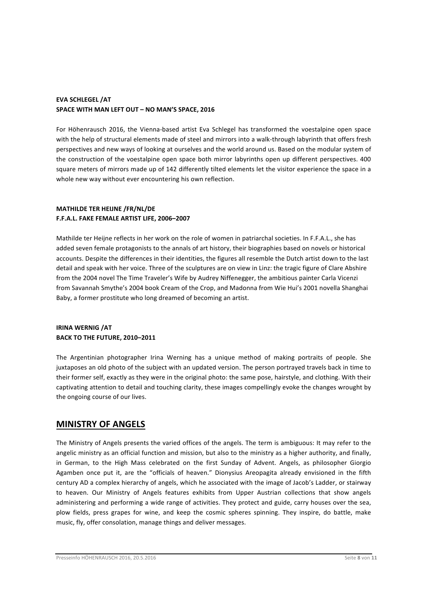### **EVA SCHLEGEL /AT** SPACE WITH MAN LEFT OUT - NO MAN'S SPACE, 2016

For Höhenrausch 2016, the Vienna-based artist Eva Schlegel has transformed the voestalpine open space with the help of structural elements made of steel and mirrors into a walk-through labyrinth that offers fresh perspectives and new ways of looking at ourselves and the world around us. Based on the modular system of the construction of the voestalpine open space both mirror labyrinths open up different perspectives. 400 square meters of mirrors made up of 142 differently tilted elements let the visitor experience the space in a whole new way without ever encountering his own reflection.

### **MATHILDE TER HEIJNE /FR/NL/DE F.F.A.L. FAKE FEMALE ARTIST LIFE, 2006–2007**

Mathilde ter Heijne reflects in her work on the role of women in patriarchal societies. In F.F.A.L., she has added seven female protagonists to the annals of art history, their biographies based on novels or historical accounts. Despite the differences in their identities, the figures all resemble the Dutch artist down to the last detail and speak with her voice. Three of the sculptures are on view in Linz: the tragic figure of Clare Abshire from the 2004 novel The Time Traveler's Wife by Audrey Niffenegger, the ambitious painter Carla Vicenzi from Savannah Smythe's 2004 book Cream of the Crop, and Madonna from Wie Hui's 2001 novella Shanghai Baby, a former prostitute who long dreamed of becoming an artist.

### **IRINA WERNIG / AT BACK TO THE FUTURE, 2010-2011**

The Argentinian photographer Irina Werning has a unique method of making portraits of people. She juxtaposes an old photo of the subject with an updated version. The person portrayed travels back in time to their former self, exactly as they were in the original photo: the same pose, hairstyle, and clothing. With their captivating attention to detail and touching clarity, these images compellingly evoke the changes wrought by the ongoing course of our lives.

# **MINISTRY OF ANGELS**

The Ministry of Angels presents the varied offices of the angels. The term is ambiguous: It may refer to the angelic ministry as an official function and mission, but also to the ministry as a higher authority, and finally, in German, to the High Mass celebrated on the first Sunday of Advent. Angels, as philosopher Giorgio Agamben once put it, are the "officials of heaven." Dionysius Areopagita already envisioned in the fifth century AD a complex hierarchy of angels, which he associated with the image of Jacob's Ladder, or stairway to heaven. Our Ministry of Angels features exhibits from Upper Austrian collections that show angels administering and performing a wide range of activities. They protect and guide, carry houses over the sea, plow fields, press grapes for wine, and keep the cosmic spheres spinning. They inspire, do battle, make music, fly, offer consolation, manage things and deliver messages.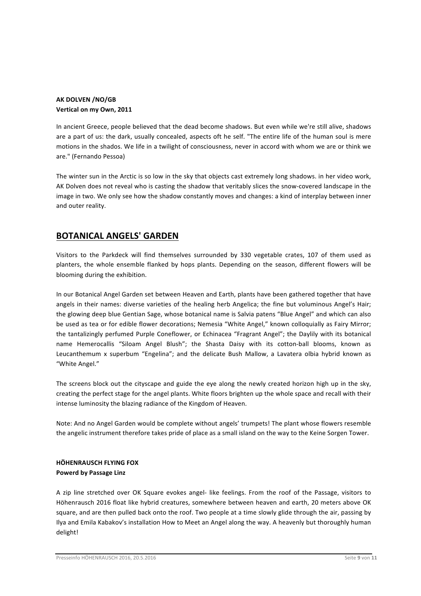### **AK DOLVEN /NO/GB Vertical on my Own, 2011**

In ancient Greece, people believed that the dead become shadows. But even while we're still alive, shadows are a part of us: the dark, usually concealed, aspects oft he self. "The entire life of the human soul is mere motions in the shados. We life in a twilight of consciousness, never in accord with whom we are or think we are." (Fernando Pessoa)

The winter sun in the Arctic is so low in the sky that objects cast extremely long shadows. in her video work, AK Dolven does not reveal who is casting the shadow that veritably slices the snow-covered landscape in the image in two. We only see how the shadow constantly moves and changes: a kind of interplay between inner and outer reality.

# **BOTANICAL ANGELS' GARDEN**

Visitors to the Parkdeck will find themselves surrounded by 330 vegetable crates, 107 of them used as planters, the whole ensemble flanked by hops plants. Depending on the season, different flowers will be blooming during the exhibition.

In our Botanical Angel Garden set between Heaven and Earth, plants have been gathered together that have angels in their names: diverse varieties of the healing herb Angelica; the fine but voluminous Angel's Hair; the glowing deep blue Gentian Sage, whose botanical name is Salvia patens "Blue Angel" and which can also be used as tea or for edible flower decorations; Nemesia "White Angel," known colloquially as Fairy Mirror; the tantalizingly perfumed Purple Coneflower, or Echinacea "Fragrant Angel"; the Daylily with its botanical name Hemerocallis "Siloam Angel Blush"; the Shasta Daisy with its cotton-ball blooms, known as Leucanthemum x superbum "Engelina"; and the delicate Bush Mallow, a Lavatera olbia hybrid known as "White Angel."

The screens block out the cityscape and guide the eye along the newly created horizon high up in the sky, creating the perfect stage for the angel plants. White floors brighten up the whole space and recall with their intense luminosity the blazing radiance of the Kingdom of Heaven.

Note: And no Angel Garden would be complete without angels' trumpets! The plant whose flowers resemble the angelic instrument therefore takes pride of place as a small island on the way to the Keine Sorgen Tower.

## **HÖHENRAUSCH FLYING FOX Powerd by Passage Linz**

A zip line stretched over OK Square evokes angel- like feelings. From the roof of the Passage, visitors to Höhenrausch 2016 float like hybrid creatures, somewhere between heaven and earth, 20 meters above OK square, and are then pulled back onto the roof. Two people at a time slowly glide through the air, passing by Ilya and Emila Kabakov's installation How to Meet an Angel along the way. A heavenly but thoroughly human delight!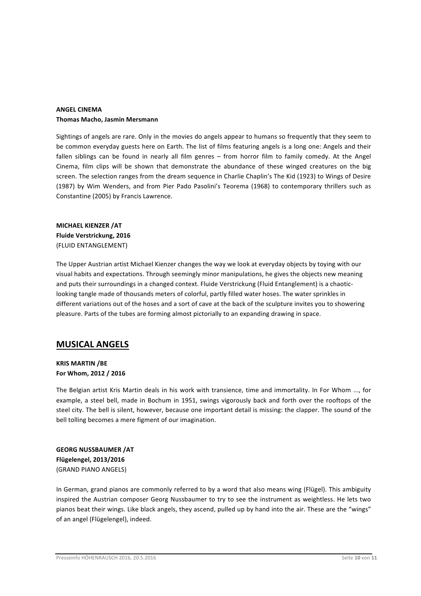#### **ANGEL CINEMA Thomas Macho, Jasmin Mersmann**

Sightings of angels are rare. Only in the movies do angels appear to humans so frequently that they seem to be common everyday guests here on Earth. The list of films featuring angels is a long one: Angels and their fallen siblings can be found in nearly all film genres  $-$  from horror film to family comedy. At the Angel Cinema, film clips will be shown that demonstrate the abundance of these winged creatures on the big screen. The selection ranges from the dream sequence in Charlie Chaplin's The Kid (1923) to Wings of Desire (1987) by Wim Wenders, and from Pier Pado Pasolini's Teorema (1968) to contemporary thrillers such as Constantine (2005) by Francis Lawrence.

# **MICHAEL KIENZER /AT Fluide Verstrickung, 2016** (FLUID ENTANGLEMENT)

The Upper Austrian artist Michael Kienzer changes the way we look at everyday objects by toying with our visual habits and expectations. Through seemingly minor manipulations, he gives the objects new meaning and puts their surroundings in a changed context. Fluide Verstrickung (Fluid Entanglement) is a chaoticlooking tangle made of thousands meters of colorful, partly filled water hoses. The water sprinkles in different variations out of the hoses and a sort of cave at the back of the sculpture invites you to showering pleasure. Parts of the tubes are forming almost pictorially to an expanding drawing in space.

# **MUSICAL ANGELS**

## **KRIS MARTIN /BE For Whom, 2012 / 2016**

The Belgian artist Kris Martin deals in his work with transience, time and immortality. In For Whom ..., for example, a steel bell, made in Bochum in 1951, swings vigorously back and forth over the rooftops of the steel city. The bell is silent, however, because one important detail is missing: the clapper. The sound of the bell tolling becomes a mere figment of our imagination.

**GEORG NUSSBAUMER / AT Flügelengel, 2013/2016** (GRAND PIANO ANGELS)

In German, grand pianos are commonly referred to by a word that also means wing (Flügel). This ambiguity inspired the Austrian composer Georg Nussbaumer to try to see the instrument as weightless. He lets two pianos beat their wings. Like black angels, they ascend, pulled up by hand into the air. These are the "wings" of an angel (Flügelengel), indeed.

Presseinfo HÖHENRAUSCH 2016, 20.5.2016 Seite 10 von 11